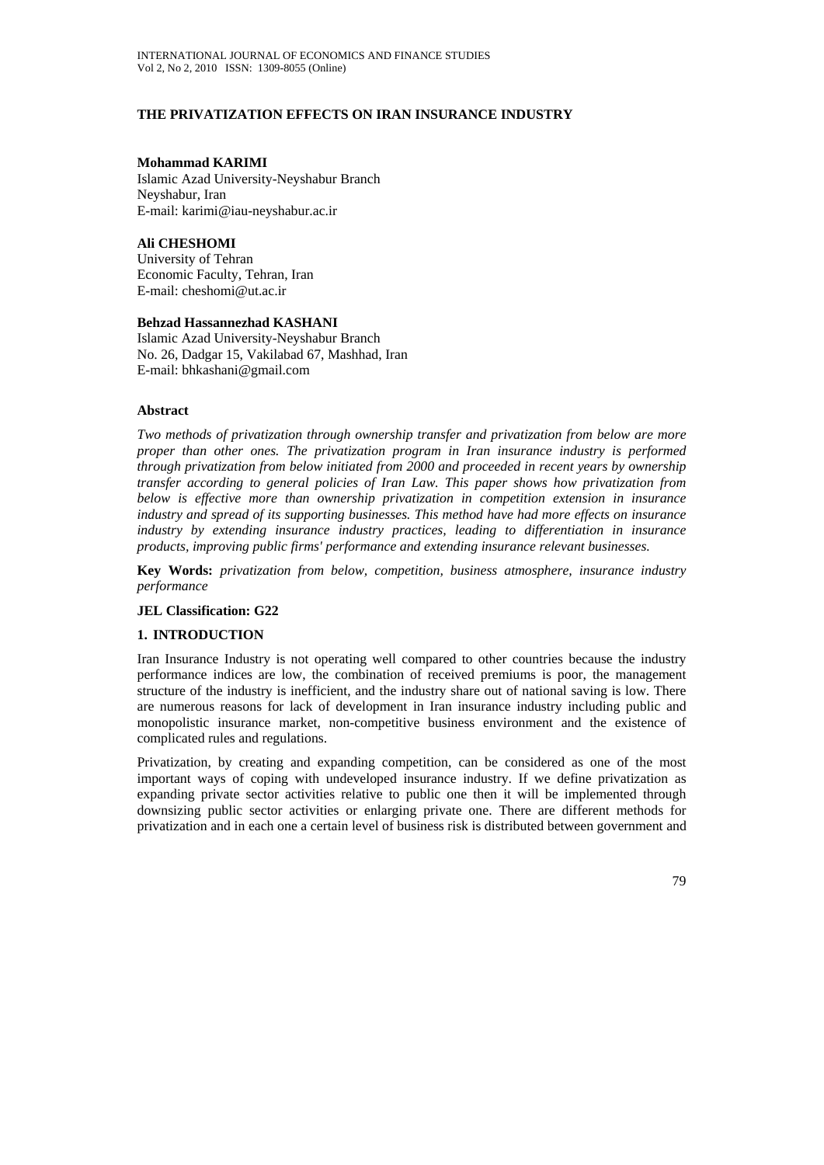# **THE PRIVATIZATION EFFECTS ON IRAN INSURANCE INDUSTRY**

#### **Mohammad KARIMI**

Islamic Azad University-Neyshabur Branch Neyshabur, Iran E-mail: karimi@iau-neyshabur.ac.ir

**Ali CHESHOMI**  University of Tehran Economic Faculty, Tehran, Iran E-mail: cheshomi@ut.ac.ir

#### **Behzad Hassannezhad KASHANI**

Islamic Azad University-Neyshabur Branch No. 26, Dadgar 15, Vakilabad 67, Mashhad, Iran E-mail: bhkashani@gmail.com

## **Abstract**

*Two methods of privatization through ownership transfer and privatization from below are more proper than other ones. The privatization program in Iran insurance industry is performed through privatization from below initiated from 2000 and proceeded in recent years by ownership transfer according to general policies of Iran Law. This paper shows how privatization from below is effective more than ownership privatization in competition extension in insurance industry and spread of its supporting businesses. This method have had more effects on insurance industry by extending insurance industry practices, leading to differentiation in insurance products, improving public firms' performance and extending insurance relevant businesses.* 

**Key Words:** *privatization from below, competition, business atmosphere, insurance industry performance* 

## **JEL Classification: G22**

## **1. INTRODUCTION**

Iran Insurance Industry is not operating well compared to other countries because the industry performance indices are low, the combination of received premiums is poor, the management structure of the industry is inefficient, and the industry share out of national saving is low. There are numerous reasons for lack of development in Iran insurance industry including public and monopolistic insurance market, non-competitive business environment and the existence of complicated rules and regulations.

Privatization, by creating and expanding competition, can be considered as one of the most important ways of coping with undeveloped insurance industry. If we define privatization as expanding private sector activities relative to public one then it will be implemented through downsizing public sector activities or enlarging private one. There are different methods for privatization and in each one a certain level of business risk is distributed between government and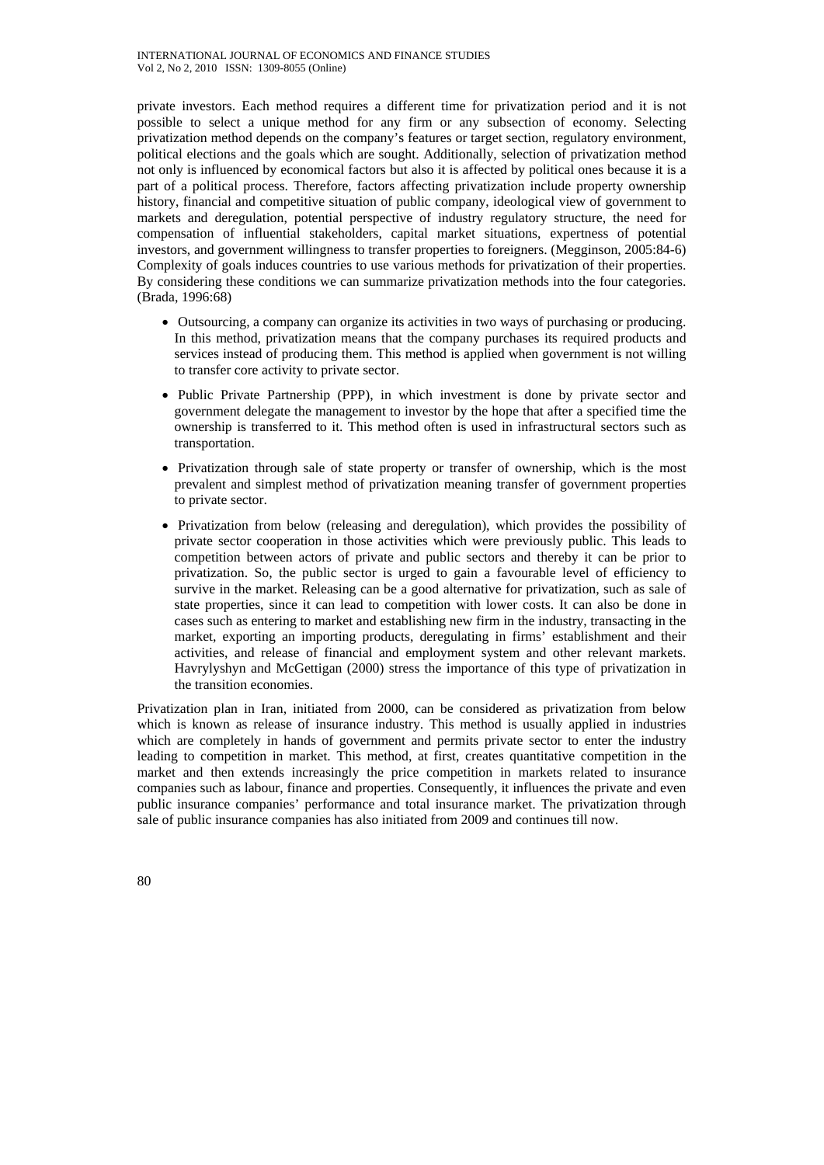private investors. Each method requires a different time for privatization period and it is not possible to select a unique method for any firm or any subsection of economy. Selecting privatization method depends on the company's features or target section, regulatory environment, political elections and the goals which are sought. Additionally, selection of privatization method not only is influenced by economical factors but also it is affected by political ones because it is a part of a political process. Therefore, factors affecting privatization include property ownership history, financial and competitive situation of public company, ideological view of government to markets and deregulation, potential perspective of industry regulatory structure, the need for compensation of influential stakeholders, capital market situations, expertness of potential investors, and government willingness to transfer properties to foreigners. (Megginson, 2005:84-6) Complexity of goals induces countries to use various methods for privatization of their properties. By considering these conditions we can summarize privatization methods into the four categories. (Brada, 1996:68)

- Outsourcing, a company can organize its activities in two ways of purchasing or producing. In this method, privatization means that the company purchases its required products and services instead of producing them. This method is applied when government is not willing to transfer core activity to private sector.
- Public Private Partnership (PPP), in which investment is done by private sector and government delegate the management to investor by the hope that after a specified time the ownership is transferred to it. This method often is used in infrastructural sectors such as transportation.
- Privatization through sale of state property or transfer of ownership, which is the most prevalent and simplest method of privatization meaning transfer of government properties to private sector.
- Privatization from below (releasing and deregulation), which provides the possibility of private sector cooperation in those activities which were previously public. This leads to competition between actors of private and public sectors and thereby it can be prior to privatization. So, the public sector is urged to gain a favourable level of efficiency to survive in the market. Releasing can be a good alternative for privatization, such as sale of state properties, since it can lead to competition with lower costs. It can also be done in cases such as entering to market and establishing new firm in the industry, transacting in the market, exporting an importing products, deregulating in firms' establishment and their activities, and release of financial and employment system and other relevant markets. Havrylyshyn and McGettigan (2000) stress the importance of this type of privatization in the transition economies.

Privatization plan in Iran, initiated from 2000, can be considered as privatization from below which is known as release of insurance industry. This method is usually applied in industries which are completely in hands of government and permits private sector to enter the industry leading to competition in market. This method, at first, creates quantitative competition in the market and then extends increasingly the price competition in markets related to insurance companies such as labour, finance and properties. Consequently, it influences the private and even public insurance companies' performance and total insurance market. The privatization through sale of public insurance companies has also initiated from 2009 and continues till now.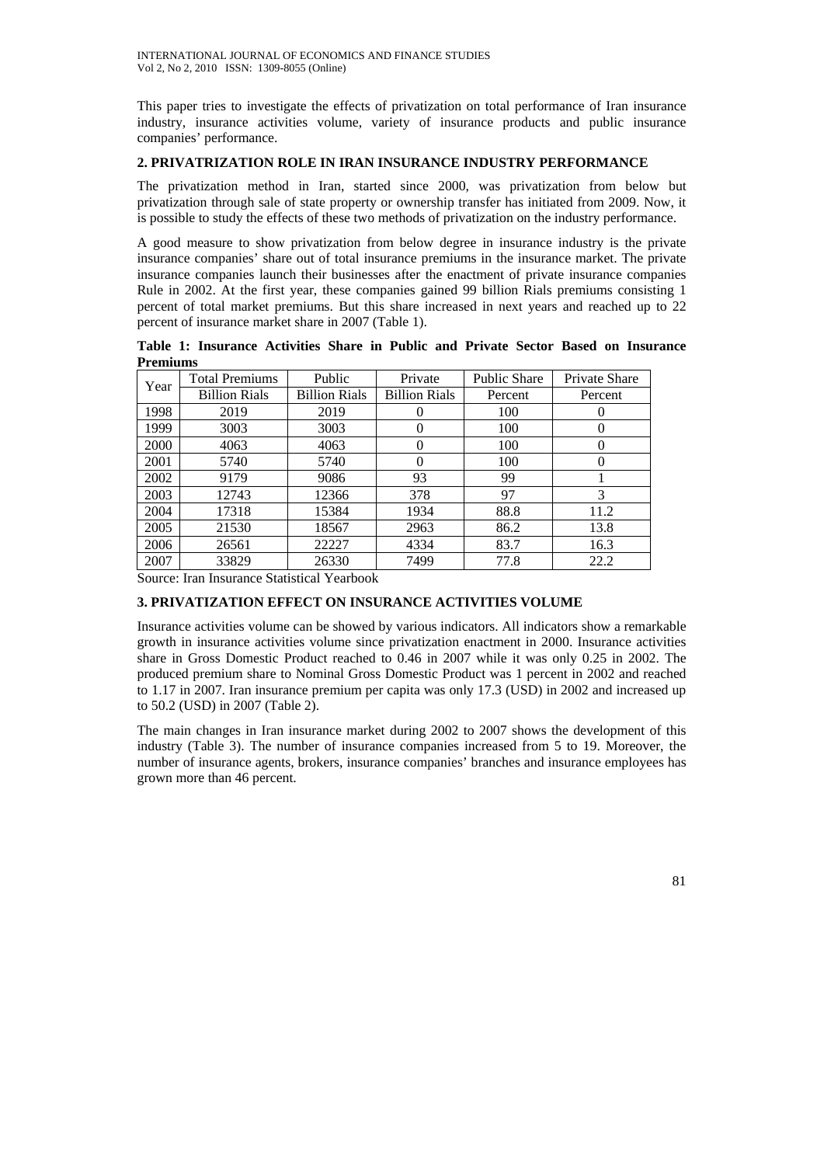This paper tries to investigate the effects of privatization on total performance of Iran insurance industry, insurance activities volume, variety of insurance products and public insurance companies' performance.

#### **2. PRIVATRIZATION ROLE IN IRAN INSURANCE INDUSTRY PERFORMANCE**

The privatization method in Iran, started since 2000, was privatization from below but privatization through sale of state property or ownership transfer has initiated from 2009. Now, it is possible to study the effects of these two methods of privatization on the industry performance.

A good measure to show privatization from below degree in insurance industry is the private insurance companies' share out of total insurance premiums in the insurance market. The private insurance companies launch their businesses after the enactment of private insurance companies Rule in 2002. At the first year, these companies gained 99 billion Rials premiums consisting 1 percent of total market premiums. But this share increased in next years and reached up to 22 percent of insurance market share in 2007 (Table 1).

**Table 1: Insurance Activities Share in Public and Private Sector Based on Insurance Premiums** 

| Year        | <b>Total Premiums</b> | Public               | Private              | <b>Public Share</b> | Private Share |
|-------------|-----------------------|----------------------|----------------------|---------------------|---------------|
|             | <b>Billion Rials</b>  | <b>Billion Rials</b> | <b>Billion Rials</b> | Percent             | Percent       |
| 1998        | 2019                  | 2019                 | 0                    | 100                 |               |
| 1999        | 3003                  | 3003                 | $\theta$             | 100                 | 0             |
| <b>2000</b> | 4063                  | 4063                 | $\Omega$             | 100                 | 0             |
| 2001        | 5740                  | 5740                 | 0                    | 100                 | 0             |
| 2002        | 9179                  | 9086                 | 93                   | 99                  |               |
| 2003        | 12743                 | 12366                | 378                  | 97                  | 3             |
| 2004        | 17318                 | 15384                | 1934                 | 88.8                | 11.2          |
| 2005        | 21530                 | 18567                | 2963                 | 86.2                | 13.8          |
| 2006        | 26561                 | 22227                | 4334                 | 83.7                | 16.3          |
| 2007        | 33829                 | 26330                | 7499                 | 77.8                | 22.2          |

Source: Iran Insurance Statistical Yearbook

## **3. PRIVATIZATION EFFECT ON INSURANCE ACTIVITIES VOLUME**

Insurance activities volume can be showed by various indicators. All indicators show a remarkable growth in insurance activities volume since privatization enactment in 2000. Insurance activities share in Gross Domestic Product reached to 0.46 in 2007 while it was only 0.25 in 2002. The produced premium share to Nominal Gross Domestic Product was 1 percent in 2002 and reached to 1.17 in 2007. Iran insurance premium per capita was only 17.3 (USD) in 2002 and increased up to 50.2 (USD) in 2007 (Table 2).

The main changes in Iran insurance market during 2002 to 2007 shows the development of this industry (Table 3). The number of insurance companies increased from 5 to 19. Moreover, the number of insurance agents, brokers, insurance companies' branches and insurance employees has grown more than 46 percent.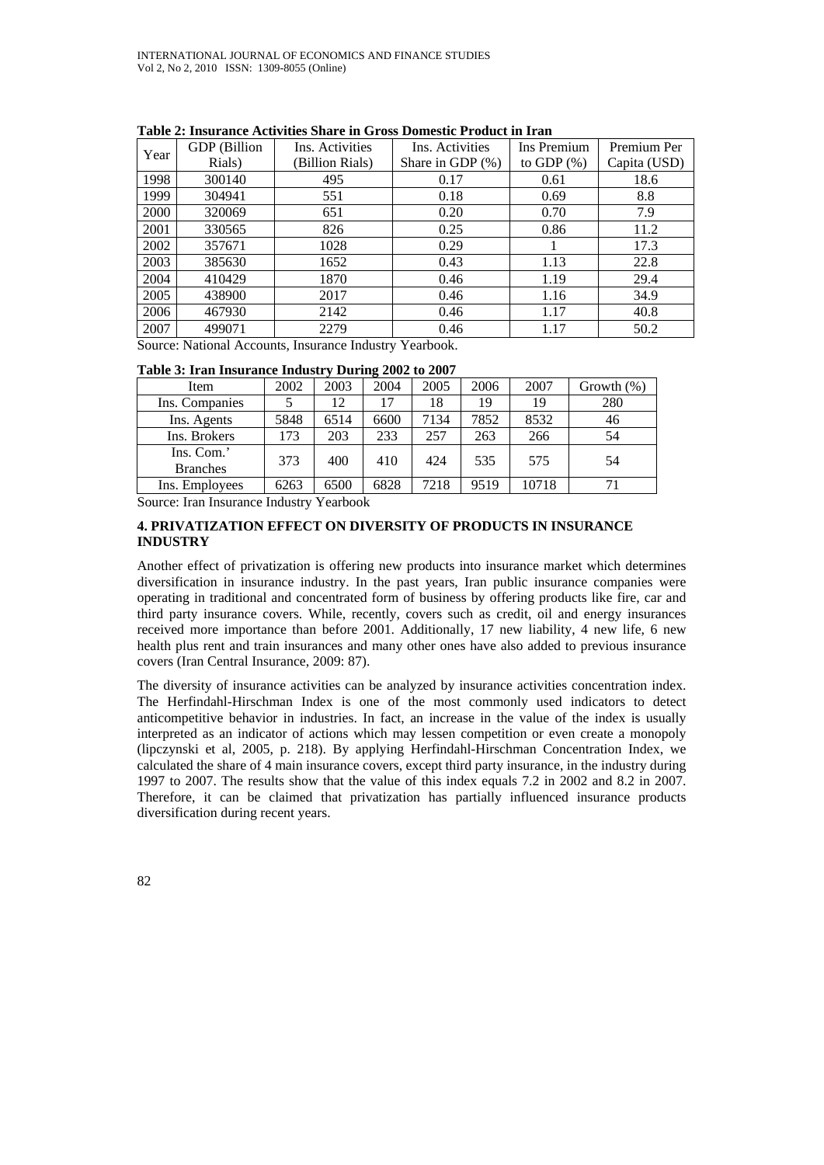|      | GDP (Billion | Ins. Activities | Ins. Activities     | Ins Premium   | Premium Per  |
|------|--------------|-----------------|---------------------|---------------|--------------|
| Year | Rials)       | (Billion Rials) | Share in GDP $(\%)$ | to GDP $(\%)$ | Capita (USD) |
| 1998 | 300140       | 495             | 0.17                | 0.61          | 18.6         |
| 1999 | 304941       | 551             | 0.18                | 0.69          | 8.8          |
| 2000 | 320069       | 651             | 0.20                | 0.70          | 7.9          |
| 2001 | 330565       | 826             | 0.25                | 0.86          | 11.2         |
| 2002 | 357671       | 1028            | 0.29                |               | 17.3         |
| 2003 | 385630       | 1652            | 0.43                | 1.13          | 22.8         |
| 2004 | 410429       | 1870            | 0.46                | 1.19          | 29.4         |
| 2005 | 438900       | 2017            | 0.46                | 1.16          | 34.9         |
| 2006 | 467930       | 2142            | 0.46                | 1.17          | 40.8         |
| 2007 | 499071       | 2279            | 0.46                | 1.17          | 50.2         |

**Table 2: Insurance Activities Share in Gross Domestic Product in Iran** 

Source: National Accounts, Insurance Industry Yearbook.

|  | Table 3: Iran Insurance Industry During 2002 to 2007 |
|--|------------------------------------------------------|
|  |                                                      |

| Item                          | 2002 | 2003 | 2004 | 2005 | 2006 | 2007  | Growth $(\%)$ |
|-------------------------------|------|------|------|------|------|-------|---------------|
| Ins. Companies                |      | 12   | 17   | 18   | 19   | 19    | 280           |
| Ins. Agents                   | 5848 | 6514 | 6600 | 7134 | 7852 | 8532  | 46            |
| Ins. Brokers                  | 173  | 203  | 233  | 257  | 263  | 266   | 54            |
| Ins. Com.'<br><b>Branches</b> | 373  | 400  | 410  | 424  | 535  | 575   | 54            |
| Ins. Employees                | 6263 | 6500 | 6828 | 7218 | 9519 | 10718 | 71            |

Source: Iran Insurance Industry Yearbook

# **4. PRIVATIZATION EFFECT ON DIVERSITY OF PRODUCTS IN INSURANCE INDUSTRY**

Another effect of privatization is offering new products into insurance market which determines diversification in insurance industry. In the past years, Iran public insurance companies were operating in traditional and concentrated form of business by offering products like fire, car and third party insurance covers. While, recently, covers such as credit, oil and energy insurances received more importance than before 2001. Additionally, 17 new liability, 4 new life, 6 new health plus rent and train insurances and many other ones have also added to previous insurance covers (Iran Central Insurance, 2009: 87).

The diversity of insurance activities can be analyzed by insurance activities concentration index. The Herfindahl-Hirschman Index is one of the most commonly used indicators to detect anticompetitive behavior in industries. In fact, an increase in the value of the index is usually interpreted as an indicator of actions which may lessen competition or even create a monopoly (lipczynski et al, 2005, p. 218). By applying Herfindahl-Hirschman Concentration Index, we calculated the share of 4 main insurance covers, except third party insurance, in the industry during 1997 to 2007. The results show that the value of this index equals 7.2 in 2002 and 8.2 in 2007. Therefore, it can be claimed that privatization has partially influenced insurance products diversification during recent years.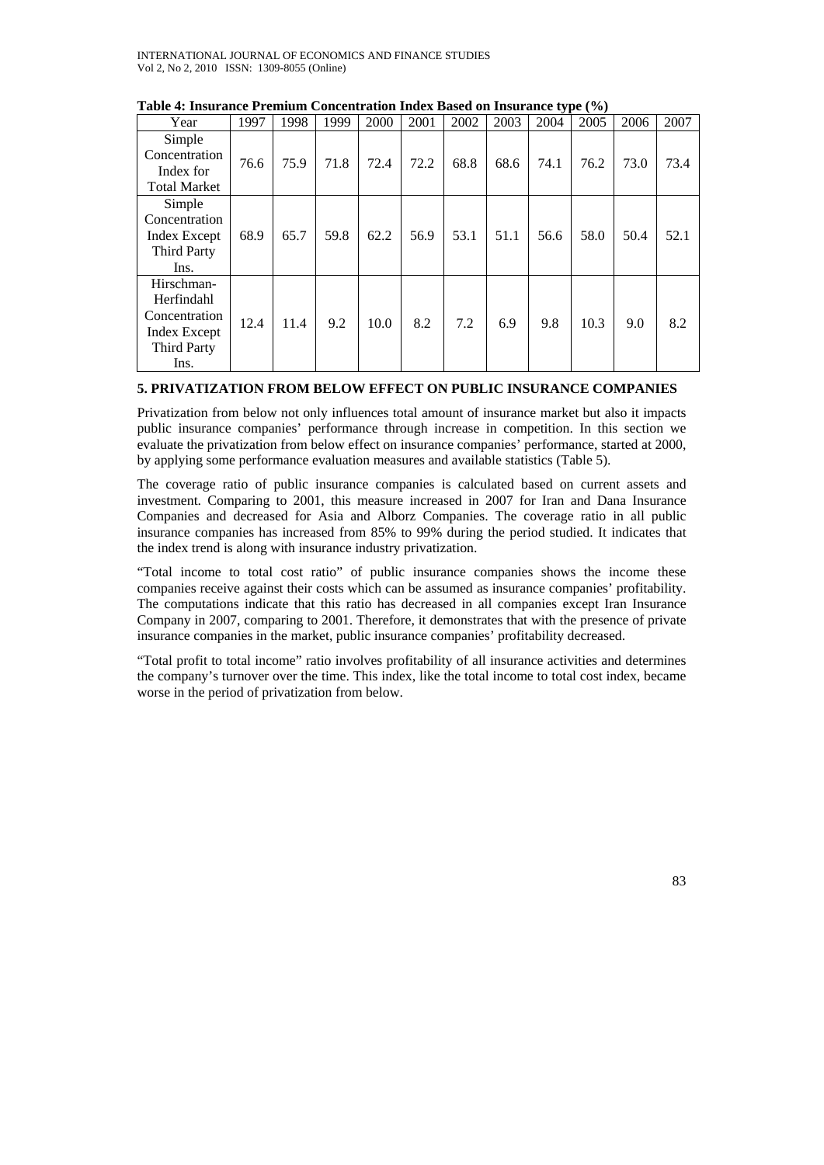| Year                | 1997 | 1998 | 1999 | 2000 | 2001 | 2002 | 2003 | 2004 | 2005 | 2006 | 2007 |
|---------------------|------|------|------|------|------|------|------|------|------|------|------|
| Simple              |      |      |      |      |      |      |      |      |      |      |      |
| Concentration       | 76.6 | 75.9 | 71.8 | 72.4 | 72.2 | 68.8 | 68.6 | 74.1 | 76.2 | 73.0 | 73.4 |
| Index for           |      |      |      |      |      |      |      |      |      |      |      |
| <b>Total Market</b> |      |      |      |      |      |      |      |      |      |      |      |
| Simple              |      |      |      |      |      |      |      |      |      |      |      |
| Concentration       |      |      |      |      |      |      |      |      |      |      |      |
| Index Except        | 68.9 | 65.7 | 59.8 | 62.2 | 56.9 | 53.1 | 51.1 | 56.6 | 58.0 | 50.4 | 52.1 |
| <b>Third Party</b>  |      |      |      |      |      |      |      |      |      |      |      |
| Ins.                |      |      |      |      |      |      |      |      |      |      |      |
| Hirschman-          |      |      |      |      |      |      |      |      |      |      |      |
| Herfindahl          |      |      |      |      |      |      |      |      |      |      |      |
| Concentration       | 12.4 | 11.4 |      | 10.0 | 8.2  | 7.2  |      | 9.8  | 10.3 |      | 8.2  |
| Index Except        |      |      | 9.2  |      |      |      | 6.9  |      |      | 9.0  |      |
| <b>Third Party</b>  |      |      |      |      |      |      |      |      |      |      |      |
| Ins.                |      |      |      |      |      |      |      |      |      |      |      |

#### **Table 4: Insurance Premium Concentration Index Based on Insurance type (%)**

## **5. PRIVATIZATION FROM BELOW EFFECT ON PUBLIC INSURANCE COMPANIES**

Privatization from below not only influences total amount of insurance market but also it impacts public insurance companies' performance through increase in competition. In this section we evaluate the privatization from below effect on insurance companies' performance, started at 2000, by applying some performance evaluation measures and available statistics (Table 5).

The coverage ratio of public insurance companies is calculated based on current assets and investment. Comparing to 2001, this measure increased in 2007 for Iran and Dana Insurance Companies and decreased for Asia and Alborz Companies. The coverage ratio in all public insurance companies has increased from 85% to 99% during the period studied. It indicates that the index trend is along with insurance industry privatization.

"Total income to total cost ratio" of public insurance companies shows the income these companies receive against their costs which can be assumed as insurance companies' profitability. The computations indicate that this ratio has decreased in all companies except Iran Insurance Company in 2007, comparing to 2001. Therefore, it demonstrates that with the presence of private insurance companies in the market, public insurance companies' profitability decreased.

"Total profit to total income" ratio involves profitability of all insurance activities and determines the company's turnover over the time. This index, like the total income to total cost index, became worse in the period of privatization from below.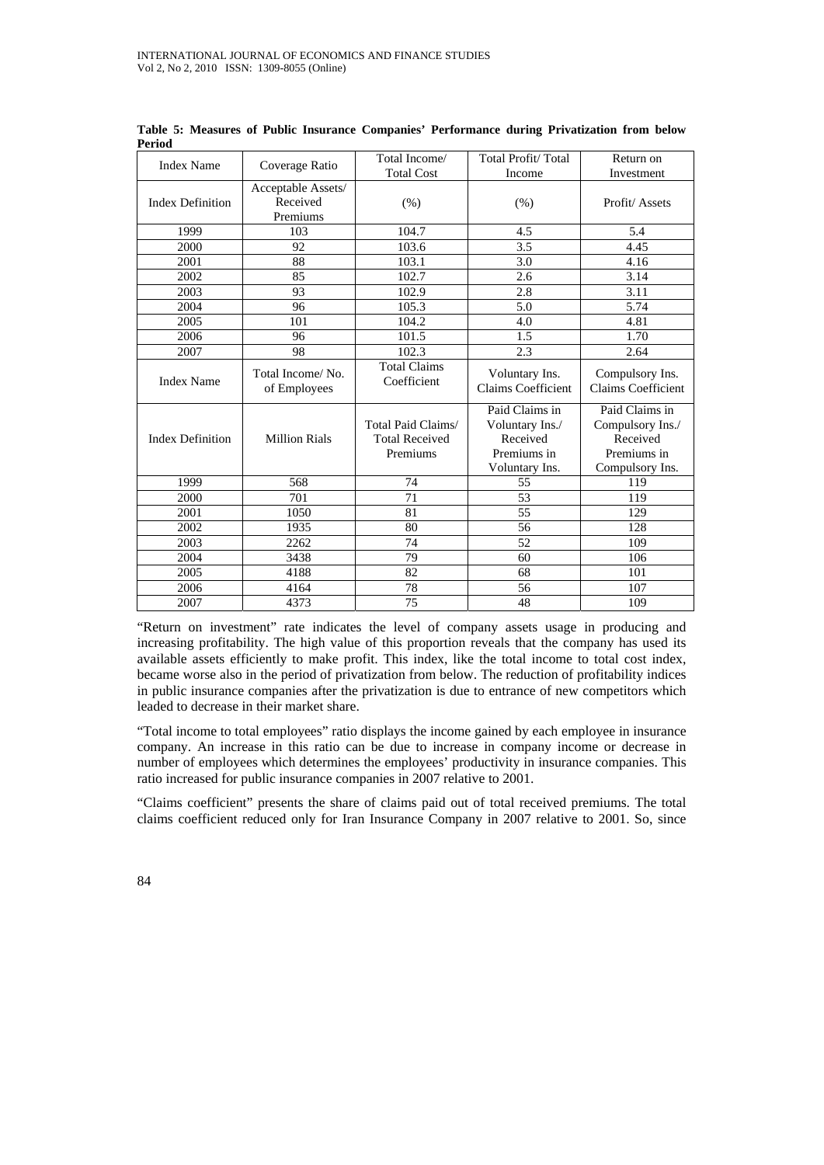| <b>Index Name</b>       | Coverage Ratio                             | Total Income/                                           | Total Profit/Total                                                             | Return on                                                                        |
|-------------------------|--------------------------------------------|---------------------------------------------------------|--------------------------------------------------------------------------------|----------------------------------------------------------------------------------|
|                         |                                            | <b>Total Cost</b>                                       | Income                                                                         | Investment                                                                       |
| <b>Index Definition</b> | Acceptable Assets/<br>Received<br>Premiums | (% )                                                    | (% )                                                                           | Profit/Assets                                                                    |
| 1999                    | 103                                        | 104.7                                                   | 4.5                                                                            | 5.4                                                                              |
| 2000                    | 92                                         | 103.6                                                   | 3.5                                                                            | 4.45                                                                             |
| 2001                    | 88                                         | 103.1                                                   | 3.0                                                                            | 4.16                                                                             |
| 2002                    | 85                                         | 102.7                                                   | 2.6                                                                            | 3.14                                                                             |
| 2003                    | 93                                         | 102.9                                                   | 2.8                                                                            | 3.11                                                                             |
| 2004                    | 96                                         | 105.3                                                   | 5.0                                                                            | 5.74                                                                             |
| 2005                    | 101                                        | 104.2                                                   | 4.0                                                                            | 4.81                                                                             |
| 2006                    | 96                                         | 101.5                                                   | 1.5                                                                            | 1.70                                                                             |
| 2007                    | 98                                         | 102.3                                                   | 2.3                                                                            | 2.64                                                                             |
| <b>Index Name</b>       | Total Income/No.<br>of Employees           | <b>Total Claims</b><br>Coefficient                      | Voluntary Ins.<br><b>Claims Coefficient</b>                                    | Compulsory Ins.<br>Claims Coefficient                                            |
| <b>Index Definition</b> | <b>Million Rials</b>                       | Total Paid Claims/<br><b>Total Received</b><br>Premiums | Paid Claims in<br>Voluntary Ins./<br>Received<br>Premiums in<br>Voluntary Ins. | Paid Claims in<br>Compulsory Ins./<br>Received<br>Premiums in<br>Compulsory Ins. |
| 1999                    | 568                                        | 74                                                      | 55                                                                             | 119                                                                              |
| 2000                    | 701                                        | 71                                                      | 53                                                                             | 119                                                                              |
| 2001                    | 1050                                       | 81                                                      | 55                                                                             | 129                                                                              |
| 2002                    | 1935                                       | 80                                                      | 56                                                                             | 128                                                                              |
| 2003                    | 2262                                       | 74                                                      | 52                                                                             | 109                                                                              |
| 2004                    | 3438                                       | 79                                                      | 60                                                                             | 106                                                                              |
| 2005                    | 4188                                       | 82                                                      | 68                                                                             | 101                                                                              |
| 2006                    | 4164                                       | 78                                                      | 56                                                                             | 107                                                                              |
| 2007                    | 4373                                       | 75                                                      | 48                                                                             | 109                                                                              |

**Table 5: Measures of Public Insurance Companies' Performance during Privatization from below Period** 

"Return on investment" rate indicates the level of company assets usage in producing and increasing profitability. The high value of this proportion reveals that the company has used its available assets efficiently to make profit. This index, like the total income to total cost index, became worse also in the period of privatization from below. The reduction of profitability indices in public insurance companies after the privatization is due to entrance of new competitors which leaded to decrease in their market share.

"Total income to total employees" ratio displays the income gained by each employee in insurance company. An increase in this ratio can be due to increase in company income or decrease in number of employees which determines the employees' productivity in insurance companies. This ratio increased for public insurance companies in 2007 relative to 2001.

"Claims coefficient" presents the share of claims paid out of total received premiums. The total claims coefficient reduced only for Iran Insurance Company in 2007 relative to 2001. So, since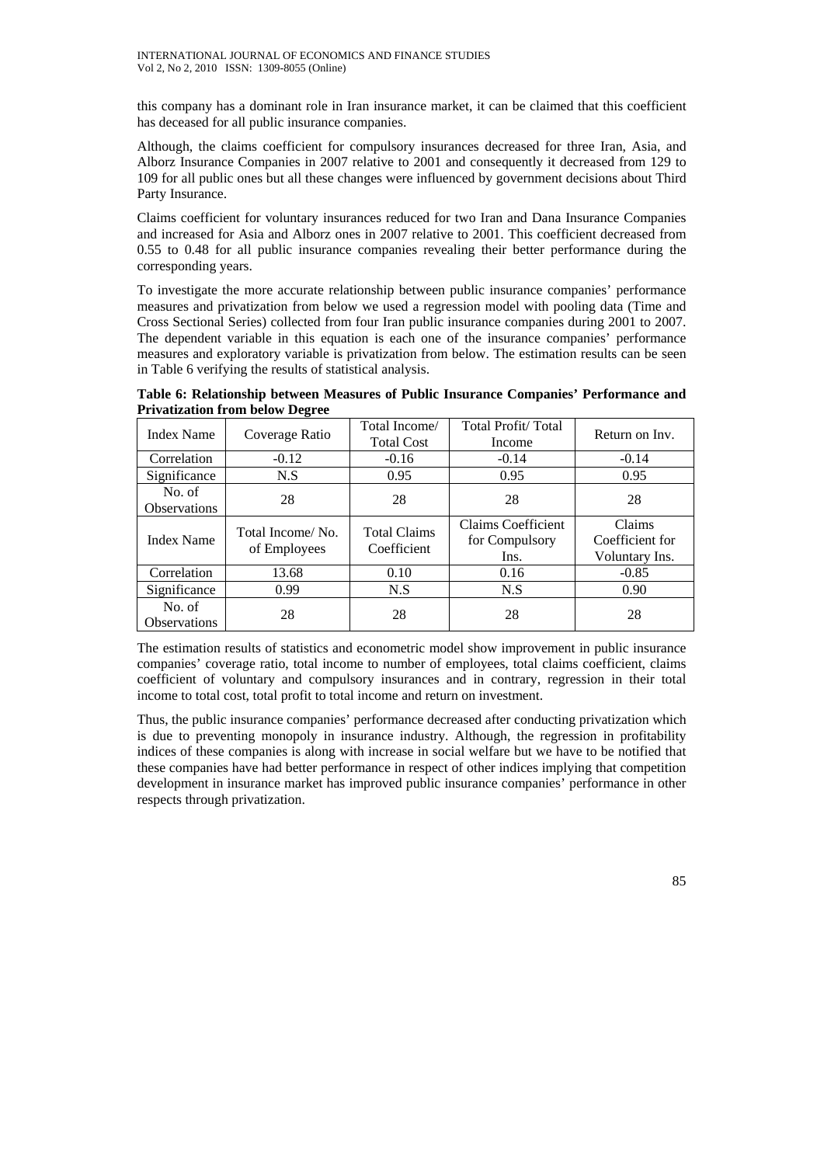this company has a dominant role in Iran insurance market, it can be claimed that this coefficient has deceased for all public insurance companies.

Although, the claims coefficient for compulsory insurances decreased for three Iran, Asia, and Alborz Insurance Companies in 2007 relative to 2001 and consequently it decreased from 129 to 109 for all public ones but all these changes were influenced by government decisions about Third Party Insurance.

Claims coefficient for voluntary insurances reduced for two Iran and Dana Insurance Companies and increased for Asia and Alborz ones in 2007 relative to 2001. This coefficient decreased from 0.55 to 0.48 for all public insurance companies revealing their better performance during the corresponding years.

To investigate the more accurate relationship between public insurance companies' performance measures and privatization from below we used a regression model with pooling data (Time and Cross Sectional Series) collected from four Iran public insurance companies during 2001 to 2007. The dependent variable in this equation is each one of the insurance companies' performance measures and exploratory variable is privatization from below. The estimation results can be seen in Table 6 verifying the results of statistical analysis.

**Table 6: Relationship between Measures of Public Insurance Companies' Performance and Privatization from below Degree** 

| <b>Index Name</b>             | Coverage Ratio                   | Total Income/<br><b>Total Cost</b> | Total Profit/Total<br>Income                 | Return on Inv.                              |
|-------------------------------|----------------------------------|------------------------------------|----------------------------------------------|---------------------------------------------|
| Correlation                   | $-0.12$                          | $-0.16$                            | $-0.14$                                      | $-0.14$                                     |
| Significance                  | N.S                              | 0.95                               | 0.95                                         | 0.95                                        |
| No. of<br><b>Observations</b> | 28                               | 28                                 | 28                                           | 28                                          |
| <b>Index Name</b>             | Total Income/No.<br>of Employees | <b>Total Claims</b><br>Coefficient | Claims Coefficient<br>for Compulsory<br>Ins. | Claims<br>Coefficient for<br>Voluntary Ins. |
| Correlation                   | 13.68                            | 0.10                               | 0.16                                         | $-0.85$                                     |
| Significance                  | 0.99                             | N.S                                | N.S                                          | 0.90                                        |
| No. of<br><b>Observations</b> | 28                               | 28                                 | 28                                           | 28                                          |

The estimation results of statistics and econometric model show improvement in public insurance companies' coverage ratio, total income to number of employees, total claims coefficient, claims coefficient of voluntary and compulsory insurances and in contrary, regression in their total income to total cost, total profit to total income and return on investment.

Thus, the public insurance companies' performance decreased after conducting privatization which is due to preventing monopoly in insurance industry. Although, the regression in profitability indices of these companies is along with increase in social welfare but we have to be notified that these companies have had better performance in respect of other indices implying that competition development in insurance market has improved public insurance companies' performance in other respects through privatization.